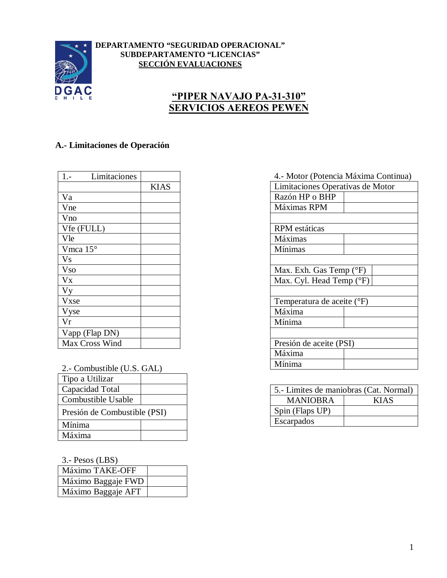

#### **DEPARTAMENTO "SEGURIDAD OPERACIONAL" SUBDEPARTAMENTO "LICENCIAS" SECCIÓN EVALUACIONES**

## **"PIPER NAVAJO PA-31-310" SERVICIOS AEREOS PEWEN**

#### **A.- Limitaciones de Operación**

| $1. -$<br>Limitaciones |             |
|------------------------|-------------|
|                        | <b>KIAS</b> |
| Va                     |             |
| Vne                    |             |
| Vno                    |             |
| Vfe (FULL)             |             |
| Vle                    |             |
| Vmca 15°               |             |
| <b>Vs</b>              |             |
| <b>Vso</b>             |             |
| $V_{X}$                |             |
| <b>Vy</b>              |             |
| Vxse                   |             |
| Vyse                   |             |
| Vr                     |             |
| Vapp (Flap DN)         |             |
| Max Cross Wind         |             |

| 2.- Combustible (U.S. GAL) | Mínima |
|----------------------------|--------|
|                            |        |

| Tipo a Utilizar              |  |
|------------------------------|--|
| Capacidad Total              |  |
| Combustible Usable           |  |
| Presión de Combustible (PSI) |  |
| Mínima                       |  |
| Máxima                       |  |

3.- Pesos (LBS)

| $\cdots$ $\cdots$ $\cdots$ |  |
|----------------------------|--|
| Máximo TAKE-OFF            |  |
| Máximo Baggaje FWD         |  |
| Máximo Baggaje AFT         |  |

# 4.- Motor (Potencia Máxima Continua) Limitaciones Operativas de Motor Razón HP o BHP Máximas RPM RPM estáticas Máximas Mínimas Max. Exh. Gas Temp (°F) Max. Cyl. Head Temp (°F) Temperatura de aceite (°F) Máxima Mínima Presión de aceite (PSI) Máxima

| 5.- Limites de maniobras (Cat. Normal) |             |  |
|----------------------------------------|-------------|--|
| <b>MANIOBRA</b>                        | <b>KIAS</b> |  |
| Spin (Flaps UP)                        |             |  |
| Escarpados                             |             |  |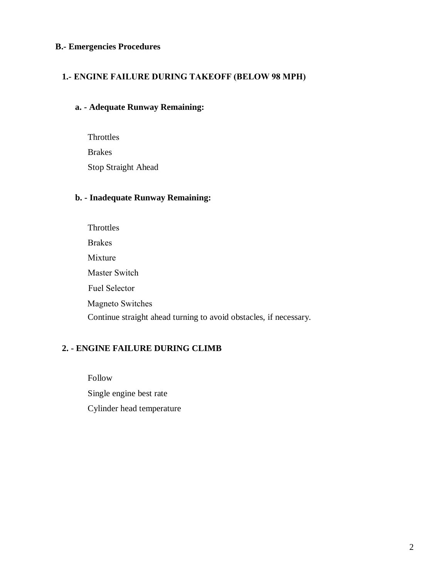#### **B.- Emergencies Procedures**

#### **1.- ENGINE FAILURE DURING TAKEOFF (BELOW 98 MPH)**

#### **a. - Adequate Runway Remaining:**

**Throttles** Brakes Stop Straight Ahead

#### **b. - Inadequate Runway Remaining:**

**Throttles** Brakes Mixture Master Switch Continue straight ahead turning to avoid obstacles, if necessary. Fuel Selector Magneto Switches

#### **2. - ENGINE FAILURE DURING CLIMB**

Follow Single engine best rate Cylinder head temperature